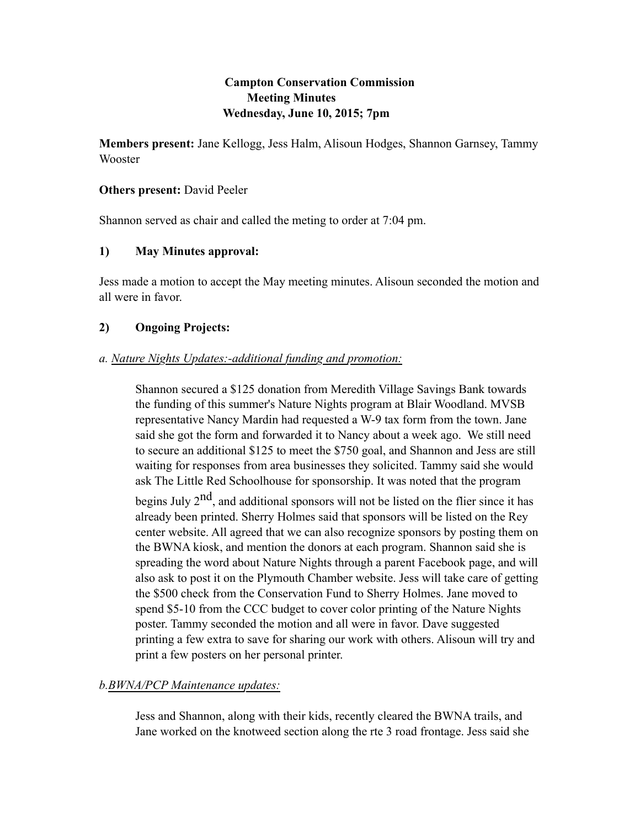# **Campton Conservation Commission Meeting Minutes Wednesday, June 10, 2015; 7pm**

**Members present:** Jane Kellogg, Jess Halm, Alisoun Hodges, Shannon Garnsey, Tammy Wooster

## **Others present:** David Peeler

Shannon served as chair and called the meting to order at 7:04 pm.

# **1) May Minutes approval:**

Jess made a motion to accept the May meeting minutes. Alisoun seconded the motion and all were in favor.

# **2) Ongoing Projects:**

## *a. Nature Nights Updates:-additional funding and promotion:*

Shannon secured a \$125 donation from Meredith Village Savings Bank towards the funding of this summer's Nature Nights program at Blair Woodland. MVSB representative Nancy Mardin had requested a W-9 tax form from the town. Jane said she got the form and forwarded it to Nancy about a week ago. We still need to secure an additional \$125 to meet the \$750 goal, and Shannon and Jess are still waiting for responses from area businesses they solicited. Tammy said she would ask The Little Red Schoolhouse for sponsorship. It was noted that the program

begins July  $2<sup>nd</sup>$ , and additional sponsors will not be listed on the flier since it has already been printed. Sherry Holmes said that sponsors will be listed on the Rey center website. All agreed that we can also recognize sponsors by posting them on the BWNA kiosk, and mention the donors at each program. Shannon said she is spreading the word about Nature Nights through a parent Facebook page, and will also ask to post it on the Plymouth Chamber website. Jess will take care of getting the \$500 check from the Conservation Fund to Sherry Holmes. Jane moved to spend \$5-10 from the CCC budget to cover color printing of the Nature Nights poster. Tammy seconded the motion and all were in favor. Dave suggested printing a few extra to save for sharing our work with others. Alisoun will try and print a few posters on her personal printer.

# *b.BWNA/PCP Maintenance updates:*

Jess and Shannon, along with their kids, recently cleared the BWNA trails, and Jane worked on the knotweed section along the rte 3 road frontage. Jess said she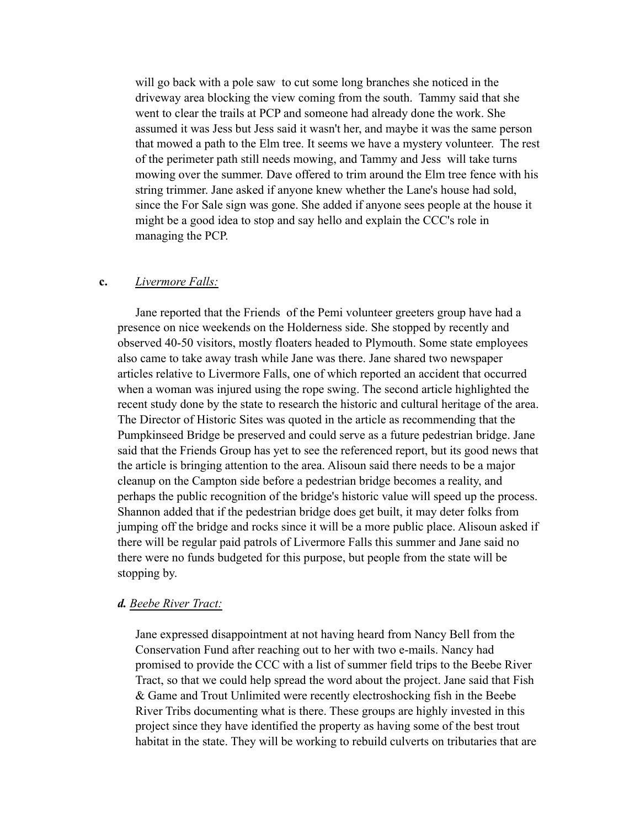will go back with a pole saw to cut some long branches she noticed in the driveway area blocking the view coming from the south. Tammy said that she went to clear the trails at PCP and someone had already done the work. She assumed it was Jess but Jess said it wasn't her, and maybe it was the same person that mowed a path to the Elm tree. It seems we have a mystery volunteer. The rest of the perimeter path still needs mowing, and Tammy and Jess will take turns mowing over the summer. Dave offered to trim around the Elm tree fence with his string trimmer. Jane asked if anyone knew whether the Lane's house had sold, since the For Sale sign was gone. She added if anyone sees people at the house it might be a good idea to stop and say hello and explain the CCC's role in managing the PCP.

#### **c.** *Livermore Falls:*

Jane reported that the Friends of the Pemi volunteer greeters group have had a presence on nice weekends on the Holderness side. She stopped by recently and observed 40-50 visitors, mostly floaters headed to Plymouth. Some state employees also came to take away trash while Jane was there. Jane shared two newspaper articles relative to Livermore Falls, one of which reported an accident that occurred when a woman was injured using the rope swing. The second article highlighted the recent study done by the state to research the historic and cultural heritage of the area. The Director of Historic Sites was quoted in the article as recommending that the Pumpkinseed Bridge be preserved and could serve as a future pedestrian bridge. Jane said that the Friends Group has yet to see the referenced report, but its good news that the article is bringing attention to the area. Alisoun said there needs to be a major cleanup on the Campton side before a pedestrian bridge becomes a reality, and perhaps the public recognition of the bridge's historic value will speed up the process. Shannon added that if the pedestrian bridge does get built, it may deter folks from jumping off the bridge and rocks since it will be a more public place. Alisoun asked if there will be regular paid patrols of Livermore Falls this summer and Jane said no there were no funds budgeted for this purpose, but people from the state will be stopping by.

#### *d. Beebe River Tract:*

Jane expressed disappointment at not having heard from Nancy Bell from the Conservation Fund after reaching out to her with two e-mails. Nancy had promised to provide the CCC with a list of summer field trips to the Beebe River Tract, so that we could help spread the word about the project. Jane said that Fish & Game and Trout Unlimited were recently electroshocking fish in the Beebe River Tribs documenting what is there. These groups are highly invested in this project since they have identified the property as having some of the best trout habitat in the state. They will be working to rebuild culverts on tributaries that are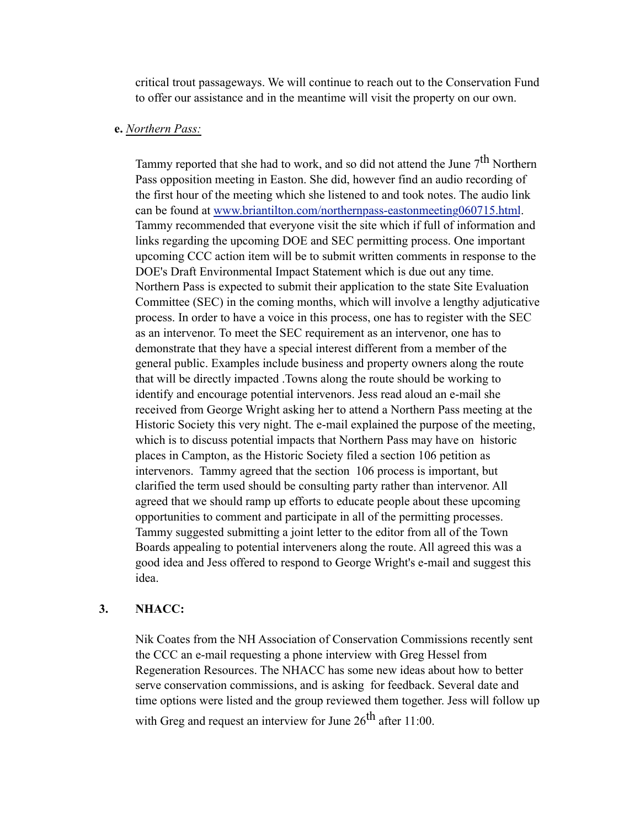critical trout passageways. We will continue to reach out to the Conservation Fund to offer our assistance and in the meantime will visit the property on our own.

## **e.** *Northern Pass:*

Tammy reported that she had to work, and so did not attend the June  $7<sup>th</sup>$  Northern Pass opposition meeting in Easton. She did, however find an audio recording of the first hour of the meeting which she listened to and took notes. The audio link can be found at [www.briantilton.com/northernpass-eastonmeeting060715.html](http://www.briantilton.com/northernpass-eastonmeeting060715.html). Tammy recommended that everyone visit the site which if full of information and links regarding the upcoming DOE and SEC permitting process. One important upcoming CCC action item will be to submit written comments in response to the DOE's Draft Environmental Impact Statement which is due out any time. Northern Pass is expected to submit their application to the state Site Evaluation Committee (SEC) in the coming months, which will involve a lengthy adjuticative process. In order to have a voice in this process, one has to register with the SEC as an intervenor. To meet the SEC requirement as an intervenor, one has to demonstrate that they have a special interest different from a member of the general public. Examples include business and property owners along the route that will be directly impacted .Towns along the route should be working to identify and encourage potential intervenors. Jess read aloud an e-mail she received from George Wright asking her to attend a Northern Pass meeting at the Historic Society this very night. The e-mail explained the purpose of the meeting, which is to discuss potential impacts that Northern Pass may have on historic places in Campton, as the Historic Society filed a section 106 petition as intervenors. Tammy agreed that the section 106 process is important, but clarified the term used should be consulting party rather than intervenor. All agreed that we should ramp up efforts to educate people about these upcoming opportunities to comment and participate in all of the permitting processes. Tammy suggested submitting a joint letter to the editor from all of the Town Boards appealing to potential interveners along the route. All agreed this was a good idea and Jess offered to respond to George Wright's e-mail and suggest this idea.

### **3. NHACC:**

Nik Coates from the NH Association of Conservation Commissions recently sent the CCC an e-mail requesting a phone interview with Greg Hessel from Regeneration Resources. The NHACC has some new ideas about how to better serve conservation commissions, and is asking for feedback. Several date and time options were listed and the group reviewed them together. Jess will follow up with Greg and request an interview for June  $26^{th}$  after 11:00.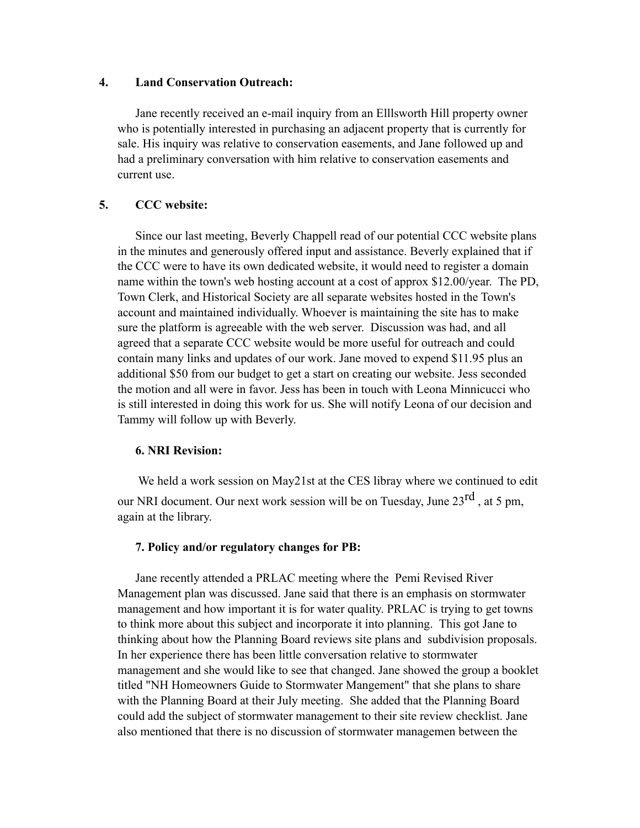#### **4. Land Conservation Outreach:**

Jane recently received an e-mail inquiry from an Elllsworth Hill property owner who is potentially interested in purchasing an adjacent property that is currently for sale. His inquiry was relative to conservation easements, and Jane followed up and had a preliminary conversation with him relative to conservation easements and current use.

## **5. CCC website:**

Since our last meeting, Beverly Chappell read of our potential CCC website plans in the minutes and generously offered input and assistance. Beverly explained that if the CCC were to have its own dedicated website, it would need to register a domain name within the town's web hosting account at a cost of approx \$12.00/year. The PD, Town Clerk, and Historical Society are all separate websites hosted in the Town's account and maintained individually. Whoever is maintaining the site has to make sure the platform is agreeable with the web server. Discussion was had, and all agreed that a separate CCC website would be more useful for outreach and could contain many links and updates of our work. Jane moved to expend \$11.95 plus an additional \$50 from our budget to get a start on creating our website. Jess seconded the motion and all were in favor. Jess has been in touch with Leona Minnicucci who is still interested in doing this work for us. She will notify Leona of our decision and Tammy will follow up with Beverly.

### **6. NRI Revision:**

 We held a work session on May21st at the CES libray where we continued to edit our NRI document. Our next work session will be on Tuesday, June  $23<sup>rd</sup>$ , at 5 pm, again at the library.

### **7. Policy and/or regulatory changes for PB:**

Jane recently attended a PRLAC meeting where the Pemi Revised River Management plan was discussed. Jane said that there is an emphasis on stormwater management and how important it is for water quality. PRLAC is trying to get towns to think more about this subject and incorporate it into planning. This got Jane to thinking about how the Planning Board reviews site plans and subdivision proposals. In her experience there has been little conversation relative to stormwater management and she would like to see that changed. Jane showed the group a booklet titled "NH Homeowners Guide to Stormwater Mangement" that she plans to share with the Planning Board at their July meeting. She added that the Planning Board could add the subject of stormwater management to their site review checklist. Jane also mentioned that there is no discussion of stormwater managemen between the